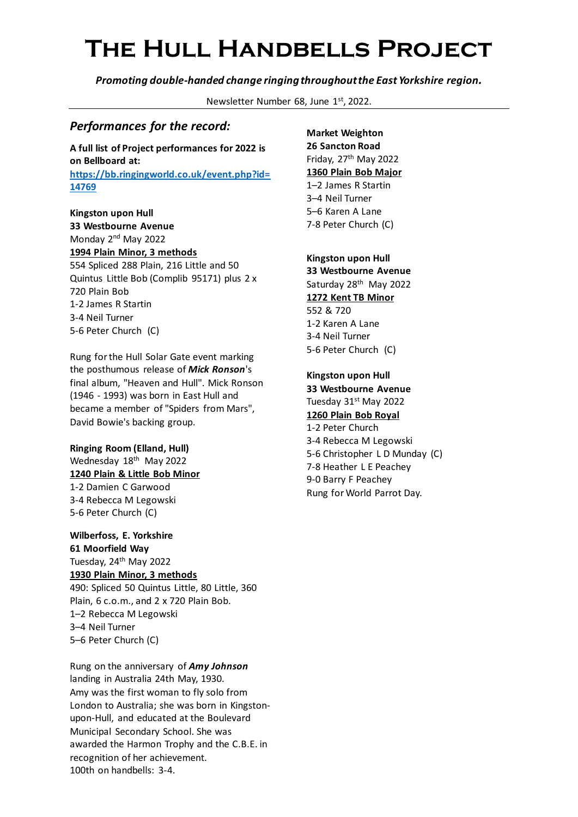*Promoting double-handed change ringing throughout the East Yorkshire region.*

Newsletter Number 68, June 1st, 2022.

### *Performances for the record:*

**A full list of Project performances for 2022 is on Bellboard at: [https://bb.ringingworld.co.uk/event.php?id=](https://bb.ringingworld.co.uk/event.php?id=14769) [14769](https://bb.ringingworld.co.uk/event.php?id=14769)**

**Kingston upon Hull 33 Westbourne Avenue** Monday 2nd May 2022 **1994 Plain Minor, 3 methods** 554 Spliced 288 Plain, 216 Little and 50 Quintus Little Bob (Complib 95171) plus 2 x 720 Plain Bob 1-2 James R Startin 3-4 Neil Turner 5-6 Peter Church (C)

Rung for the Hull Solar Gate event marking the posthumous release of *Mick Ronson*'s final album, "Heaven and Hull". Mick Ronson (1946 - 1993) was born in East Hull and became a member of "Spiders from Mars", David Bowie's backing group.

#### **Ringing Room (Elland, Hull)** Wednesday 18<sup>th</sup> May 2022 **1240 Plain & Little Bob Minor** 1-2 Damien C Garwood 3-4 Rebecca M Legowski 5-6 Peter Church (C)

**Wilberfoss, E. Yorkshire 61 Moorfield Way** Tuesday, 24<sup>th</sup> May 2022 **1930 Plain Minor, 3 methods** 490: Spliced 50 Quintus Little, 80 Little, 360 Plain, 6 c.o.m., and 2 x 720 Plain Bob. 1–2 Rebecca M Legowski 3–4 Neil Turner 5–6 Peter Church (C)

Rung on the anniversary of *Amy Johnson* landing in Australia 24th May, 1930. Amy was the first woman to fly solo from London to Australia; she was born in Kingstonupon-Hull, and educated at the Boulevard Municipal Secondary School. She was awarded the Harmon Trophy and the C.B.E. in recognition of her achievement. 100th on handbells: 3-4.

**Market Weighton 26 Sancton Road** Friday, 27<sup>th</sup> May 2022 **1360 Plain Bob Major** 1–2 James R Startin 3–4 Neil Turner 5–6 Karen A Lane 7-8 Peter Church (C)

**Kingston upon Hull 33 Westbourne Avenue** Saturday 28<sup>th</sup> May 2022 **1272 Kent TB Minor** 552 & 720 1-2 Karen A Lane 3-4 Neil Turner 5-6 Peter Church (C)

**Kingston upon Hull 33 Westbourne Avenue** Tuesday 31<sup>st</sup> May 2022 **1260 Plain Bob Royal**

1-2 Peter Church 3-4 Rebecca M Legowski 5-6 Christopher L D Munday (C) 7-8 Heather L E Peachey 9-0 Barry F Peachey Rung for World Parrot Day.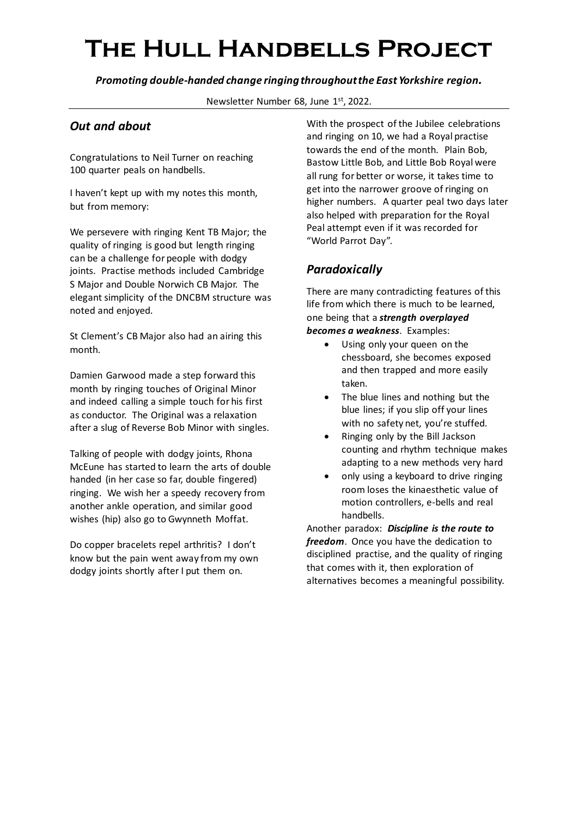*Promoting double-handed change ringing throughout the East Yorkshire region.*

Newsletter Number 68, June 1st, 2022.

### *Out and about*

Congratulations to Neil Turner on reaching 100 quarter peals on handbells.

I haven't kept up with my notes this month, but from memory:

We persevere with ringing Kent TB Major; the quality of ringing is good but length ringing can be a challenge for people with dodgy joints. Practise methods included Cambridge S Major and Double Norwich CB Major. The elegant simplicity of the DNCBM structure was noted and enjoyed.

St Clement's CB Major also had an airing this month.

Damien Garwood made a step forward this month by ringing touches of Original Minor and indeed calling a simple touch for his first as conductor. The Original was a relaxation after a slug of Reverse Bob Minor with singles.

Talking of people with dodgy joints, Rhona McEune has started to learn the arts of double handed (in her case so far, double fingered) ringing. We wish her a speedy recovery from another ankle operation, and similar good wishes (hip) also go to Gwynneth Moffat.

Do copper bracelets repel arthritis? I don't know but the pain went away from my own dodgy joints shortly after I put them on.

With the prospect of the Jubilee celebrations and ringing on 10, we had a Royal practise towards the end of the month. Plain Bob, Bastow Little Bob, and Little Bob Royal were all rung for better or worse, it takes time to get into the narrower groove of ringing on higher numbers. A quarter peal two days later also helped with preparation for the Royal Peal attempt even if it was recorded for "World Parrot Day".

### *Paradoxically*

There are many contradicting features of this life from which there is much to be learned, one being that a *strength overplayed becomes a weakness*. Examples:

- Using only your queen on the chessboard, she becomes exposed and then trapped and more easily taken.
- The blue lines and nothing but the blue lines; if you slip off your lines with no safety net, you're stuffed.
- Ringing only by the Bill Jackson counting and rhythm technique makes adapting to a new methods very hard
- only using a keyboard to drive ringing room loses the kinaesthetic value of motion controllers, e-bells and real handbells.

Another paradox: *Discipline is the route to freedom*. Once you have the dedication to disciplined practise, and the quality of ringing that comes with it, then exploration of alternatives becomes a meaningful possibility.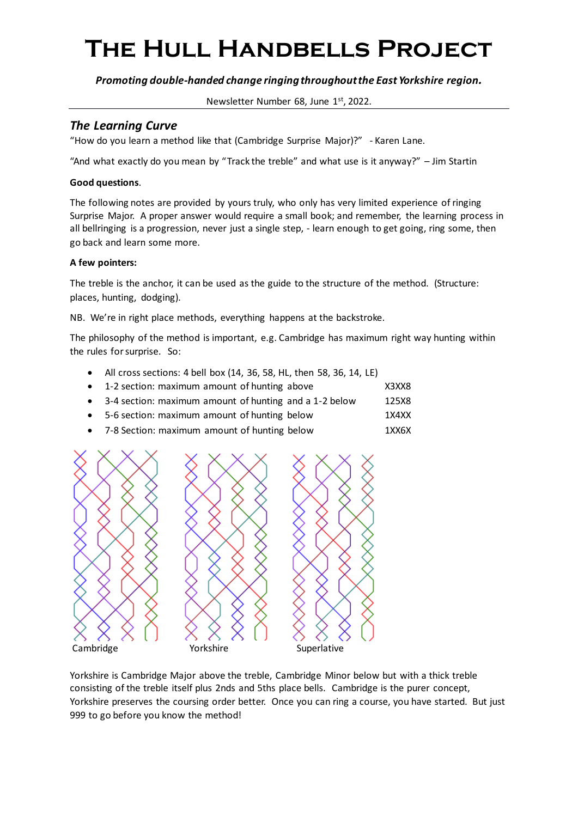*Promoting double-handed change ringing throughout the East Yorkshire region.*

Newsletter Number 68, June 1st, 2022.

### *The Learning Curve*

"How do you learn a method like that (Cambridge Surprise Major)?" - Karen Lane.

"And what exactly do you mean by "Track the treble" and what use is it anyway?" – Jim Startin

#### **Good questions**.

The following notes are provided by yours truly, who only has very limited experience of ringing Surprise Major. A proper answer would require a small book; and remember, the learning process in all bellringing is a progression, never just a single step, - learn enough to get going, ring some, then go back and learn some more.

#### **A few pointers:**

The treble is the anchor, it can be used as the guide to the structure of the method. (Structure: places, hunting, dodging).

NB. We're in right place methods, everything happens at the backstroke.

The philosophy of the method is important, e.g. Cambridge has maximum right way hunting within the rules for surprise. So:

• All cross sections: 4 bell box (14, 36, 58, HL, then 58, 36, 14, LE) • 1-2 section: maximum amount of hunting above X3XX8

| $\bullet$ 3-4 section: maximum amount of hunting and a 1-2 below | 125X8 |
|------------------------------------------------------------------|-------|
| • 5-6 section: maximum amount of hunting below                   | 1X4XX |
| • 7-8 Section: maximum amount of hunting below                   | 1XX6X |



Yorkshire is Cambridge Major above the treble, Cambridge Minor below but with a thick treble consisting of the treble itself plus 2nds and 5ths place bells. Cambridge is the purer concept, Yorkshire preserves the coursing order better. Once you can ring a course, you have started. But just 999 to go before you know the method!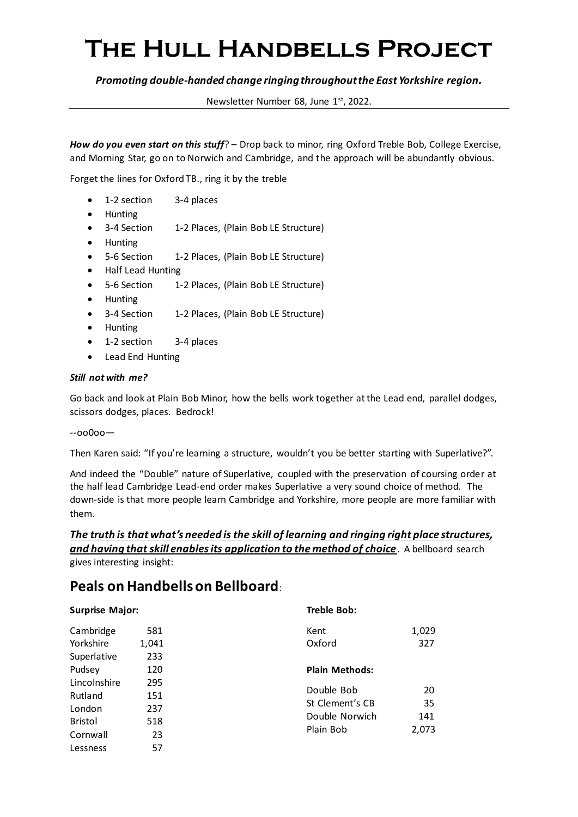#### *Promoting double-handed change ringing throughout the East Yorkshire region.*

Newsletter Number 68, June 1st, 2022.

*How do you even start on this stuff*? – Drop back to minor, ring Oxford Treble Bob, College Exercise, and Morning Star, go on to Norwich and Cambridge, and the approach will be abundantly obvious.

Forget the lines for Oxford TB., ring it by the treble

- 1-2 section 3-4 places
- Hunting
- 3-4 Section 1-2 Places, (Plain Bob LE Structure)
- Hunting
- 5-6 Section 1-2 Places, (Plain Bob LE Structure)
- Half Lead Hunting
- 5-6 Section 1-2 Places, (Plain Bob LE Structure)
- Hunting
- 3-4 Section 1-2 Places, (Plain Bob LE Structure)
- Hunting
- 1-2 section 3-4 places
- Lead End Hunting

#### *Still not with me?*

Go back and look at Plain Bob Minor, how the bells work together at the Lead end, parallel dodges, scissors dodges, places. Bedrock!

--oo0oo—

Then Karen said: "If you're learning a structure, wouldn't you be better starting with Superlative?".

And indeed the "Double" nature of Superlative, coupled with the preservation of coursing order at the half lead Cambridge Lead-end order makes Superlative a very sound choice of method. The down-side is that more people learn Cambridge and Yorkshire, more people are more familiar with them.

## *The truth is that what's needed is the skill of learning and ringing right place structures, and having that skill enables its application to the method of choice*. A bellboard search

gives interesting insight:

### **Peals on Handbells on Bellboard**:

| <b>Surprise Major:</b>                |                                           | Treble Bob:                   |              |  |  |
|---------------------------------------|-------------------------------------------|-------------------------------|--------------|--|--|
| Cambridge<br>Yorkshire<br>Superlative | 581<br>1,041<br>233                       | Kent<br>Oxford                | 1,029<br>327 |  |  |
| Pudsey                                | 120                                       | <b>Plain Methods:</b>         |              |  |  |
| Lincolnshire<br>Rutland               | 295<br>151                                | Double Bob<br>St Clement's CB | 20<br>35     |  |  |
| London<br><b>Bristol</b>              | 237<br>Double Norwich<br>518<br>Plain Bob | 141<br>2,073                  |              |  |  |
| Cornwall<br>Lessness                  | 23<br>57                                  |                               |              |  |  |